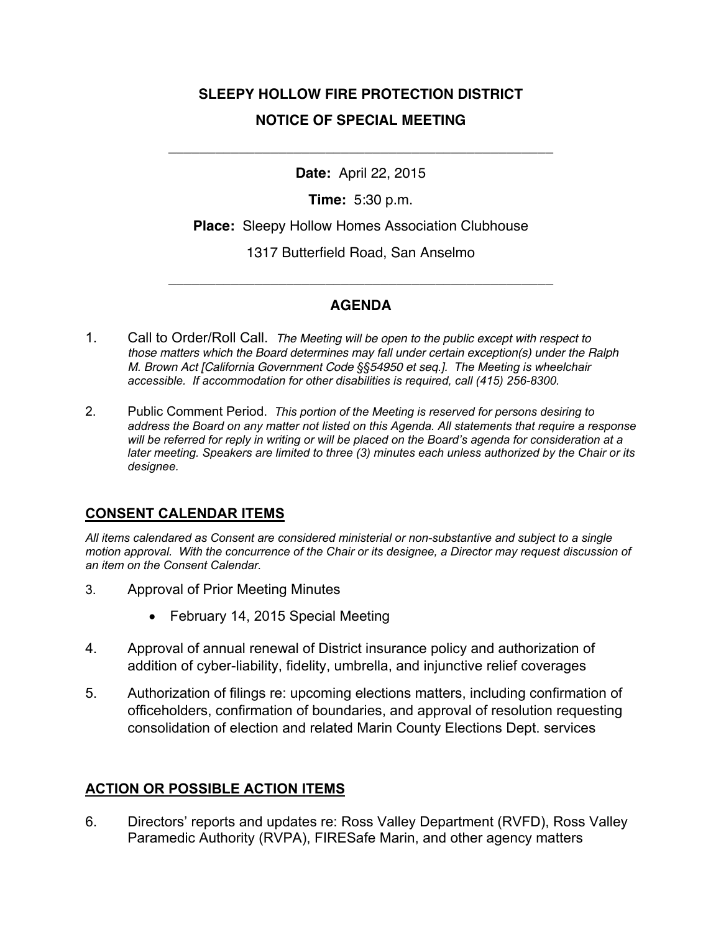# **SLEEPY HOLLOW FIRE PROTECTION DISTRICT NOTICE OF SPECIAL MEETING**

**Date:** April 22, 2015

\_\_\_\_\_\_\_\_\_\_\_\_\_\_\_\_\_\_\_\_\_\_\_\_\_\_\_\_\_\_\_\_\_\_\_\_\_\_\_\_\_\_\_\_\_\_\_\_\_

**Time:** 5:30 p.m.

**Place:** Sleepy Hollow Homes Association Clubhouse

1317 Butterfield Road, San Anselmo

## **AGENDA**

\_\_\_\_\_\_\_\_\_\_\_\_\_\_\_\_\_\_\_\_\_\_\_\_\_\_\_\_\_\_\_\_\_\_\_\_\_\_\_\_\_\_\_\_\_\_\_\_\_

- 1. Call to Order/Roll Call. *The Meeting will be open to the public except with respect to those matters which the Board determines may fall under certain exception(s) under the Ralph M. Brown Act [California Government Code §§54950 et seq.]. The Meeting is wheelchair accessible. If accommodation for other disabilities is required, call (415) 256-8300.*
- 2. Public Comment Period. *This portion of the Meeting is reserved for persons desiring to address the Board on any matter not listed on this Agenda. All statements that require a response*  will be referred for reply in writing or will be placed on the Board's agenda for consideration at a *later meeting. Speakers are limited to three (3) minutes each unless authorized by the Chair or its designee.*

## **CONSENT CALENDAR ITEMS**

*All items calendared as Consent are considered ministerial or non-substantive and subject to a single motion approval. With the concurrence of the Chair or its designee, a Director may request discussion of an item on the Consent Calendar.*

- 3. Approval of Prior Meeting Minutes
	- February 14, 2015 Special Meeting
- 4. Approval of annual renewal of District insurance policy and authorization of addition of cyber-liability, fidelity, umbrella, and injunctive relief coverages
- 5. Authorization of filings re: upcoming elections matters, including confirmation of officeholders, confirmation of boundaries, and approval of resolution requesting consolidation of election and related Marin County Elections Dept. services

## **ACTION OR POSSIBLE ACTION ITEMS**

6. Directors' reports and updates re: Ross Valley Department (RVFD), Ross Valley Paramedic Authority (RVPA), FIRESafe Marin, and other agency matters